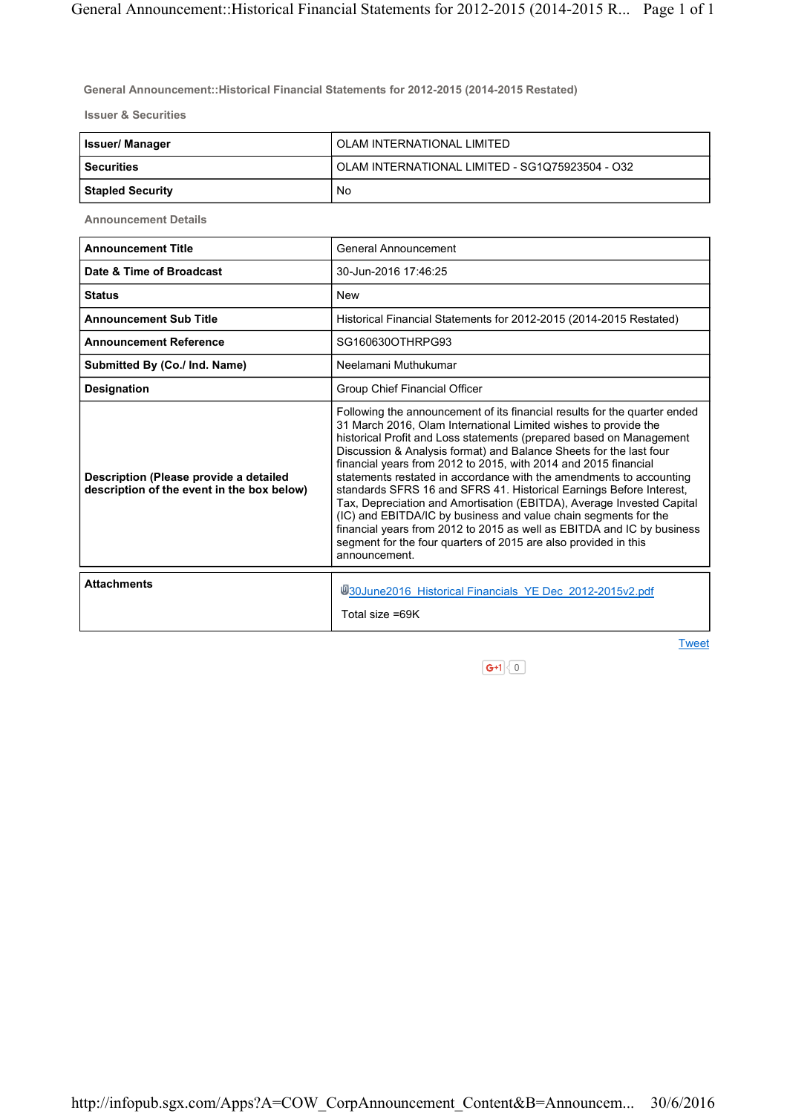General Announcement::Historical Financial Statements for 2012-2015 (2014-2015 Restated)

Issuer & Securities

| <b>Issuer/Manager</b>   | OLAM INTERNATIONAL LIMITED                      |
|-------------------------|-------------------------------------------------|
| l Securities            | OLAM INTERNATIONAL LIMITED - SG1Q75923504 - O32 |
| <b>Stapled Security</b> | No                                              |

Announcement Details

| <b>Announcement Title</b>                                                            | General Announcement                                                                                                                                                                                                                                                                                                                                                                                                                                                                                                                                                                                                                                                                                                                                                                                                 |
|--------------------------------------------------------------------------------------|----------------------------------------------------------------------------------------------------------------------------------------------------------------------------------------------------------------------------------------------------------------------------------------------------------------------------------------------------------------------------------------------------------------------------------------------------------------------------------------------------------------------------------------------------------------------------------------------------------------------------------------------------------------------------------------------------------------------------------------------------------------------------------------------------------------------|
| Date & Time of Broadcast                                                             | 30-Jun-2016 17:46:25                                                                                                                                                                                                                                                                                                                                                                                                                                                                                                                                                                                                                                                                                                                                                                                                 |
| <b>Status</b>                                                                        | <b>New</b>                                                                                                                                                                                                                                                                                                                                                                                                                                                                                                                                                                                                                                                                                                                                                                                                           |
| <b>Announcement Sub Title</b>                                                        | Historical Financial Statements for 2012-2015 (2014-2015 Restated)                                                                                                                                                                                                                                                                                                                                                                                                                                                                                                                                                                                                                                                                                                                                                   |
| <b>Announcement Reference</b>                                                        | SG160630OTHRPG93                                                                                                                                                                                                                                                                                                                                                                                                                                                                                                                                                                                                                                                                                                                                                                                                     |
| Submitted By (Co./ Ind. Name)                                                        | Neelamani Muthukumar                                                                                                                                                                                                                                                                                                                                                                                                                                                                                                                                                                                                                                                                                                                                                                                                 |
| <b>Designation</b>                                                                   | Group Chief Financial Officer                                                                                                                                                                                                                                                                                                                                                                                                                                                                                                                                                                                                                                                                                                                                                                                        |
| Description (Please provide a detailed<br>description of the event in the box below) | Following the announcement of its financial results for the quarter ended<br>31 March 2016, Olam International Limited wishes to provide the<br>historical Profit and Loss statements (prepared based on Management<br>Discussion & Analysis format) and Balance Sheets for the last four<br>financial years from 2012 to 2015, with 2014 and 2015 financial<br>statements restated in accordance with the amendments to accounting<br>standards SFRS 16 and SFRS 41. Historical Earnings Before Interest,<br>Tax, Depreciation and Amortisation (EBITDA), Average Invested Capital<br>(IC) and EBITDA/IC by business and value chain segments for the<br>financial years from 2012 to 2015 as well as EBITDA and IC by business<br>segment for the four quarters of 2015 are also provided in this<br>announcement. |
| <b>Attachments</b>                                                                   | 430June2016 Historical Financials YE Dec 2012-2015v2.pdf<br>Total size =69K                                                                                                                                                                                                                                                                                                                                                                                                                                                                                                                                                                                                                                                                                                                                          |
|                                                                                      | <b>Tweet</b>                                                                                                                                                                                                                                                                                                                                                                                                                                                                                                                                                                                                                                                                                                                                                                                                         |

 $\boxed{\mathsf{G}^{\text{+1}}\setminus 0}$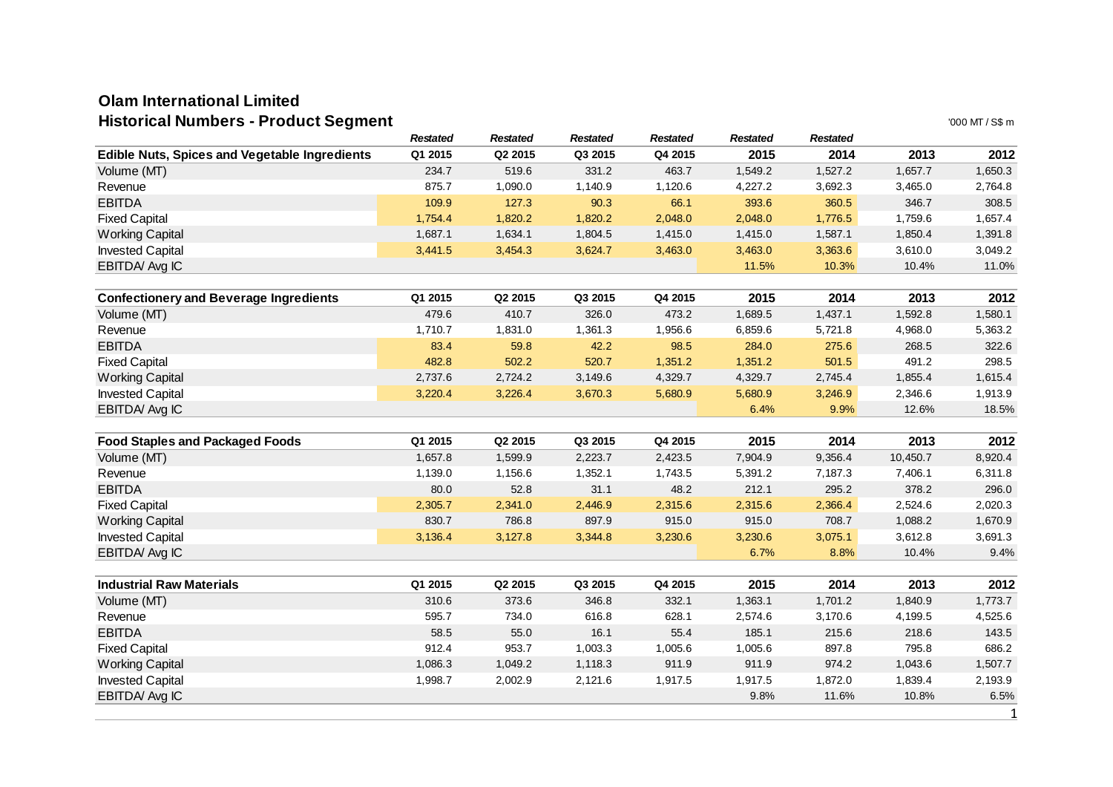## **Olam International LimitedHistorical Numbers - Product Segment**

| Historical Numbers - Product Segment                 |                 |                 |                 |                 |                 |                 |          | '000 MT / S\$ m |
|------------------------------------------------------|-----------------|-----------------|-----------------|-----------------|-----------------|-----------------|----------|-----------------|
|                                                      | <b>Restated</b> | <b>Restated</b> | <b>Restated</b> | <b>Restated</b> | <b>Restated</b> | <b>Restated</b> |          |                 |
| <b>Edible Nuts, Spices and Vegetable Ingredients</b> | Q1 2015         | Q2 2015         | Q3 2015         | Q4 2015         | 2015            | 2014            | 2013     | 2012            |
| Volume (MT)                                          | 234.7           | 519.6           | 331.2           | 463.7           | 1,549.2         | 1,527.2         | 1,657.7  | 1,650.3         |
| Revenue                                              | 875.7           | 1,090.0         | 1,140.9         | 1,120.6         | 4,227.2         | 3,692.3         | 3,465.0  | 2,764.8         |
| <b>EBITDA</b>                                        | 109.9           | 127.3           | 90.3            | 66.1            | 393.6           | 360.5           | 346.7    | 308.5           |
| <b>Fixed Capital</b>                                 | 1,754.4         | 1,820.2         | 1,820.2         | 2,048.0         | 2,048.0         | 1,776.5         | 1,759.6  | 1,657.4         |
| <b>Working Capital</b>                               | 1,687.1         | 1,634.1         | 1,804.5         | 1,415.0         | 1,415.0         | 1,587.1         | 1,850.4  | 1,391.8         |
| <b>Invested Capital</b>                              | 3,441.5         | 3,454.3         | 3,624.7         | 3,463.0         | 3,463.0         | 3,363.6         | 3,610.0  | 3,049.2         |
| EBITDA Avg IC                                        |                 |                 |                 |                 | 11.5%           | 10.3%           | 10.4%    | 11.0%           |
| <b>Confectionery and Beverage Ingredients</b>        | Q1 2015         | Q2 2015         | Q3 2015         | Q4 2015         | 2015            | 2014            | 2013     | 2012            |
| Volume (MT)                                          | 479.6           | 410.7           | 326.0           | 473.2           | 1,689.5         | 1,437.1         | 1,592.8  | 1,580.1         |
| Revenue                                              | 1,710.7         | 1,831.0         | 1,361.3         | 1,956.6         | 6,859.6         | 5,721.8         | 4,968.0  | 5,363.2         |
| <b>EBITDA</b>                                        | 83.4            | 59.8            | 42.2            | 98.5            | 284.0           | 275.6           | 268.5    | 322.6           |
| <b>Fixed Capital</b>                                 | 482.8           | 502.2           | 520.7           | 1,351.2         | 1,351.2         | 501.5           | 491.2    | 298.5           |
| <b>Working Capital</b>                               | 2,737.6         | 2,724.2         | 3,149.6         | 4,329.7         | 4,329.7         | 2,745.4         | 1,855.4  | 1,615.4         |
| <b>Invested Capital</b>                              | 3,220.4         | 3,226.4         | 3,670.3         | 5,680.9         | 5,680.9         | 3,246.9         | 2,346.6  | 1,913.9         |
| EBITDA Avg IC                                        |                 |                 |                 |                 | 6.4%            | 9.9%            | 12.6%    | 18.5%           |
|                                                      |                 |                 |                 |                 |                 |                 |          |                 |
| <b>Food Staples and Packaged Foods</b>               | Q1 2015         | Q2 2015         | Q3 2015         | Q4 2015         | 2015            | 2014            | 2013     | 2012            |
| Volume (MT)                                          | 1,657.8         | 1,599.9         | 2,223.7         | 2,423.5         | 7,904.9         | 9,356.4         | 10,450.7 | 8,920.4         |
| Revenue                                              | 1,139.0         | 1,156.6         | 1,352.1         | 1,743.5         | 5,391.2         | 7,187.3         | 7,406.1  | 6,311.8         |
| <b>EBITDA</b>                                        | 80.0            | 52.8            | 31.1            | 48.2            | 212.1           | 295.2           | 378.2    | 296.0           |
| <b>Fixed Capital</b>                                 | 2,305.7         | 2,341.0         | 2,446.9         | 2,315.6         | 2,315.6         | 2,366.4         | 2,524.6  | 2,020.3         |
| <b>Working Capital</b>                               | 830.7           | 786.8           | 897.9           | 915.0           | 915.0           | 708.7           | 1,088.2  | 1,670.9         |
| <b>Invested Capital</b>                              | 3,136.4         | 3,127.8         | 3,344.8         | 3,230.6         | 3,230.6         | 3,075.1         | 3,612.8  | 3,691.3         |
| EBITDA Avg IC                                        |                 |                 |                 |                 | 6.7%            | 8.8%            | 10.4%    | 9.4%            |
| <b>Industrial Raw Materials</b>                      | Q1 2015         | Q2 2015         | Q3 2015         | Q4 2015         | 2015            | 2014            | 2013     | 2012            |
| Volume (MT)                                          | 310.6           | 373.6           | 346.8           | 332.1           | 1,363.1         | 1,701.2         | 1,840.9  | 1,773.7         |
| Revenue                                              | 595.7           | 734.0           | 616.8           | 628.1           | 2,574.6         | 3,170.6         | 4,199.5  | 4,525.6         |
| <b>EBITDA</b>                                        | 58.5            | 55.0            | 16.1            | 55.4            | 185.1           | 215.6           | 218.6    | 143.5           |
| <b>Fixed Capital</b>                                 | 912.4           | 953.7           | 1,003.3         | 1,005.6         | 1,005.6         | 897.8           | 795.8    | 686.2           |
| <b>Working Capital</b>                               | 1,086.3         | 1,049.2         | 1,118.3         | 911.9           | 911.9           | 974.2           | 1,043.6  | 1,507.7         |
| <b>Invested Capital</b>                              | 1,998.7         | 2,002.9         | 2,121.6         | 1,917.5         | 1,917.5         | 1,872.0         | 1,839.4  | 2,193.9         |
| EBITDA Avg IC                                        |                 |                 |                 |                 | 9.8%            | 11.6%           | 10.8%    | 6.5%            |
|                                                      |                 |                 |                 |                 |                 |                 |          | $\mathbf{1}$    |
|                                                      |                 |                 |                 |                 |                 |                 |          |                 |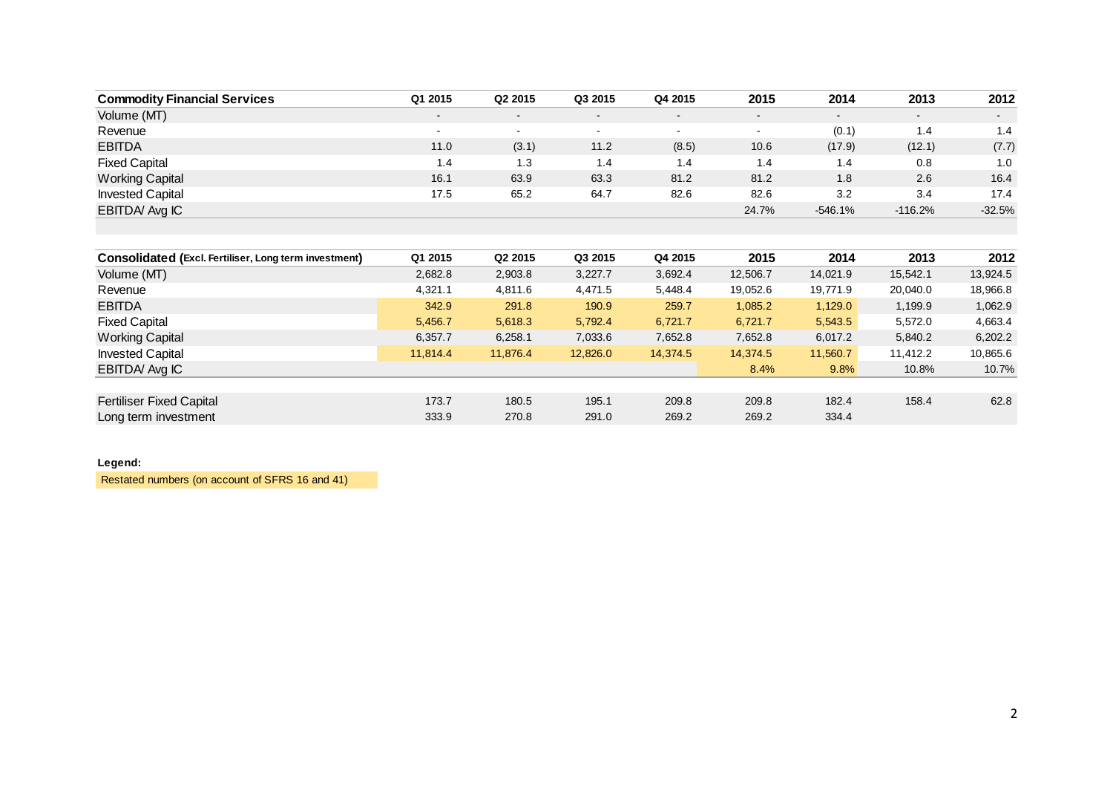| <b>Commodity Financial Services</b>                   | Q1 2015  | Q2 2015  | Q3 2015  | Q4 2015  | 2015     | 2014      | 2013      | 2012     |
|-------------------------------------------------------|----------|----------|----------|----------|----------|-----------|-----------|----------|
| Volume (MT)                                           |          |          |          |          |          |           |           |          |
| Revenue                                               | $\sim$   | $\sim$   | $\sim$   | $\sim$   | $\sim$   | (0.1)     | 1.4       | 1.4      |
| <b>EBITDA</b>                                         | 11.0     | (3.1)    | 11.2     | (8.5)    | 10.6     | (17.9)    | (12.1)    | (7.7)    |
| <b>Fixed Capital</b>                                  | 1.4      | 1.3      | 1.4      | 1.4      | 1.4      | 1.4       | 0.8       | 1.0      |
| <b>Working Capital</b>                                | 16.1     | 63.9     | 63.3     | 81.2     | 81.2     | 1.8       | 2.6       | 16.4     |
| <b>Invested Capital</b>                               | 17.5     | 65.2     | 64.7     | 82.6     | 82.6     | 3.2       | 3.4       | 17.4     |
| EBITDA Avg IC                                         |          |          |          |          | 24.7%    | $-546.1%$ | $-116.2%$ | $-32.5%$ |
|                                                       |          |          |          |          |          |           |           |          |
|                                                       |          |          |          |          |          |           |           |          |
| Consolidated (Excl. Fertiliser, Long term investment) | Q1 2015  | Q2 2015  | Q3 2015  | Q4 2015  | 2015     | 2014      | 2013      | 2012     |
| Volume (MT)                                           | 2,682.8  | 2,903.8  | 3,227.7  | 3,692.4  | 12,506.7 | 14,021.9  | 15,542.1  | 13,924.5 |
| Revenue                                               | 4,321.1  | 4,811.6  | 4,471.5  | 5,448.4  | 19,052.6 | 19,771.9  | 20,040.0  | 18,966.8 |
| <b>EBITDA</b>                                         | 342.9    | 291.8    | 190.9    | 259.7    | 1,085.2  | 1,129.0   | 1,199.9   | 1,062.9  |
| <b>Fixed Capital</b>                                  | 5,456.7  | 5,618.3  | 5,792.4  | 6,721.7  | 6,721.7  | 5,543.5   | 5,572.0   | 4,663.4  |
| <b>Working Capital</b>                                | 6,357.7  | 6,258.1  | 7,033.6  | 7,652.8  | 7,652.8  | 6,017.2   | 5,840.2   | 6,202.2  |
| <b>Invested Capital</b>                               | 11,814.4 | 11,876.4 | 12,826.0 | 14,374.5 | 14,374.5 | 11,560.7  | 11,412.2  | 10,865.6 |
| EBITDA Avg IC                                         |          |          |          |          | 8.4%     | 9.8%      | 10.8%     | 10.7%    |
|                                                       |          |          |          |          |          |           |           |          |
| <b>Fertiliser Fixed Capital</b>                       | 173.7    | 180.5    | 195.1    | 209.8    | 209.8    | 182.4     | 158.4     | 62.8     |
| Long term investment                                  | 333.9    | 270.8    | 291.0    | 269.2    | 269.2    | 334.4     |           |          |

#### **Legend:**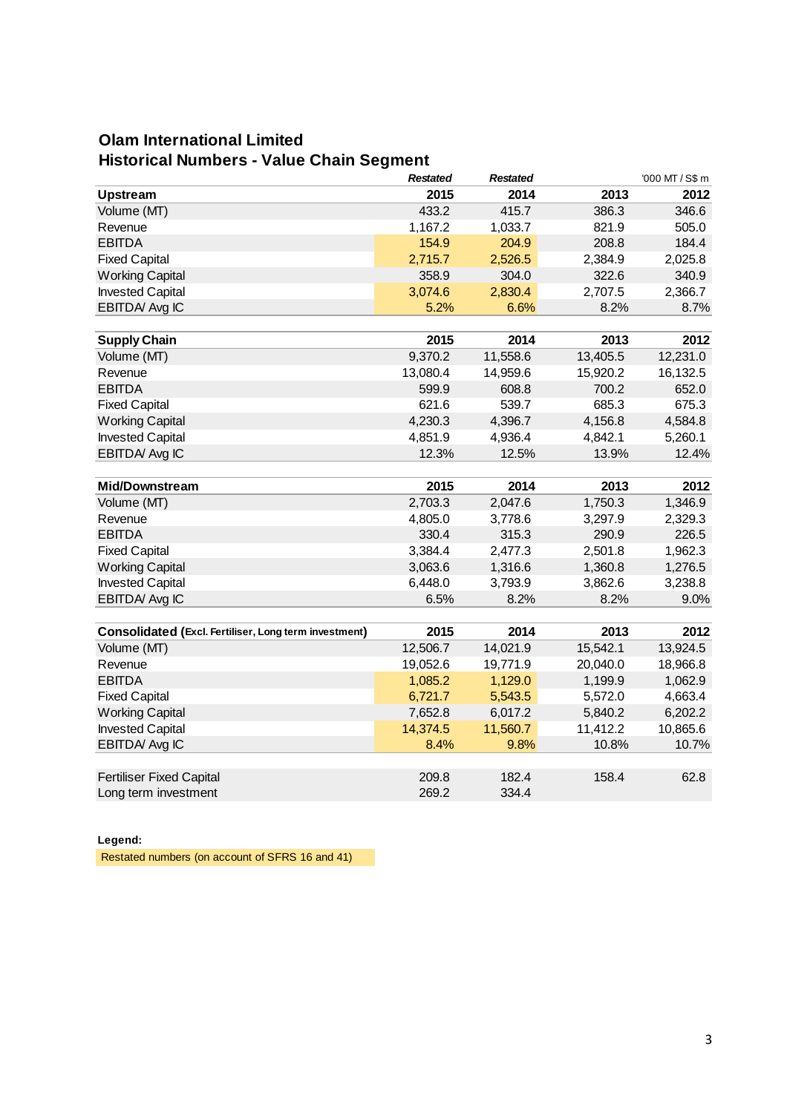## **Olam International Limited Historical Numbers - Value Chain Segment**

|                                                       | <b>Restated</b> | <b>Restated</b> |          | '000 MT / S\$ m |
|-------------------------------------------------------|-----------------|-----------------|----------|-----------------|
| <b>Upstream</b>                                       | 2015            | 2014            | 2013     | 2012            |
| Volume (MT)                                           | 433.2           | 415.7           | 386.3    | 346.6           |
| Revenue                                               | 1,167.2         | 1,033.7         | 821.9    | 505.0           |
| <b>EBITDA</b>                                         | 154.9           | 204.9           | 208.8    | 184.4           |
| <b>Fixed Capital</b>                                  | 2,715.7         | 2,526.5         | 2,384.9  | 2,025.8         |
| <b>Working Capital</b>                                | 358.9           | 304.0           | 322.6    | 340.9           |
| <b>Invested Capital</b>                               | 3,074.6         | 2,830.4         | 2,707.5  | 2,366.7         |
| EBITDA/ Avg IC                                        | 5.2%            | 6.6%            | 8.2%     | 8.7%            |
|                                                       |                 |                 |          |                 |
| <b>Supply Chain</b>                                   | 2015            | 2014            | 2013     | 2012            |
| Volume (MT)                                           | 9,370.2         | 11,558.6        | 13,405.5 | 12,231.0        |
| Revenue                                               | 13,080.4        | 14,959.6        | 15,920.2 | 16,132.5        |
| <b>EBITDA</b>                                         | 599.9           | 608.8           | 700.2    | 652.0           |
| <b>Fixed Capital</b>                                  | 621.6           | 539.7           | 685.3    | 675.3           |
| <b>Working Capital</b>                                | 4,230.3         | 4,396.7         | 4,156.8  | 4,584.8         |
| <b>Invested Capital</b>                               | 4,851.9         | 4,936.4         | 4,842.1  | 5,260.1         |
| EBITDA/ Avg IC                                        | 12.3%           | 12.5%           | 13.9%    | 12.4%           |
|                                                       |                 |                 |          |                 |
| <b>Mid/Downstream</b>                                 | 2015            | 2014            | 2013     | 2012            |
| Volume (MT)                                           | 2,703.3         | 2,047.6         | 1,750.3  | 1,346.9         |
| Revenue                                               | 4,805.0         | 3,778.6         | 3,297.9  | 2,329.3         |
| <b>EBITDA</b>                                         | 330.4           | 315.3           | 290.9    | 226.5           |
| <b>Fixed Capital</b>                                  | 3,384.4         | 2,477.3         | 2,501.8  | 1,962.3         |
| <b>Working Capital</b>                                | 3,063.6         | 1,316.6         | 1,360.8  | 1,276.5         |
| <b>Invested Capital</b>                               | 6,448.0         | 3,793.9         | 3,862.6  | 3,238.8         |
| EBITDA/ Avg IC                                        | 6.5%            | 8.2%            | 8.2%     | 9.0%            |
|                                                       |                 |                 |          |                 |
| Consolidated (Excl. Fertiliser, Long term investment) | 2015            | 2014            | 2013     | 2012            |
| Volume (MT)                                           | 12,506.7        | 14,021.9        | 15,542.1 | 13,924.5        |
| Revenue                                               | 19,052.6        | 19,771.9        | 20,040.0 | 18,966.8        |
| <b>EBITDA</b>                                         | 1,085.2         | 1,129.0         | 1,199.9  | 1,062.9         |
| <b>Fixed Capital</b>                                  | 6,721.7         | 5,543.5         | 5,572.0  | 4,663.4         |
| <b>Working Capital</b>                                | 7,652.8         | 6,017.2         | 5,840.2  | 6,202.2         |
| <b>Invested Capital</b>                               | 14,374.5        | 11,560.7        | 11,412.2 | 10,865.6        |
| EBITDA/ Avg IC                                        | 8.4%            | 9.8%            | 10.8%    | 10.7%           |
|                                                       |                 |                 |          |                 |
| <b>Fertiliser Fixed Capital</b>                       | 209.8           | 182.4           | 158.4    | 62.8            |
| Long term investment                                  | 269.2           | 334.4           |          |                 |

### **Legend:**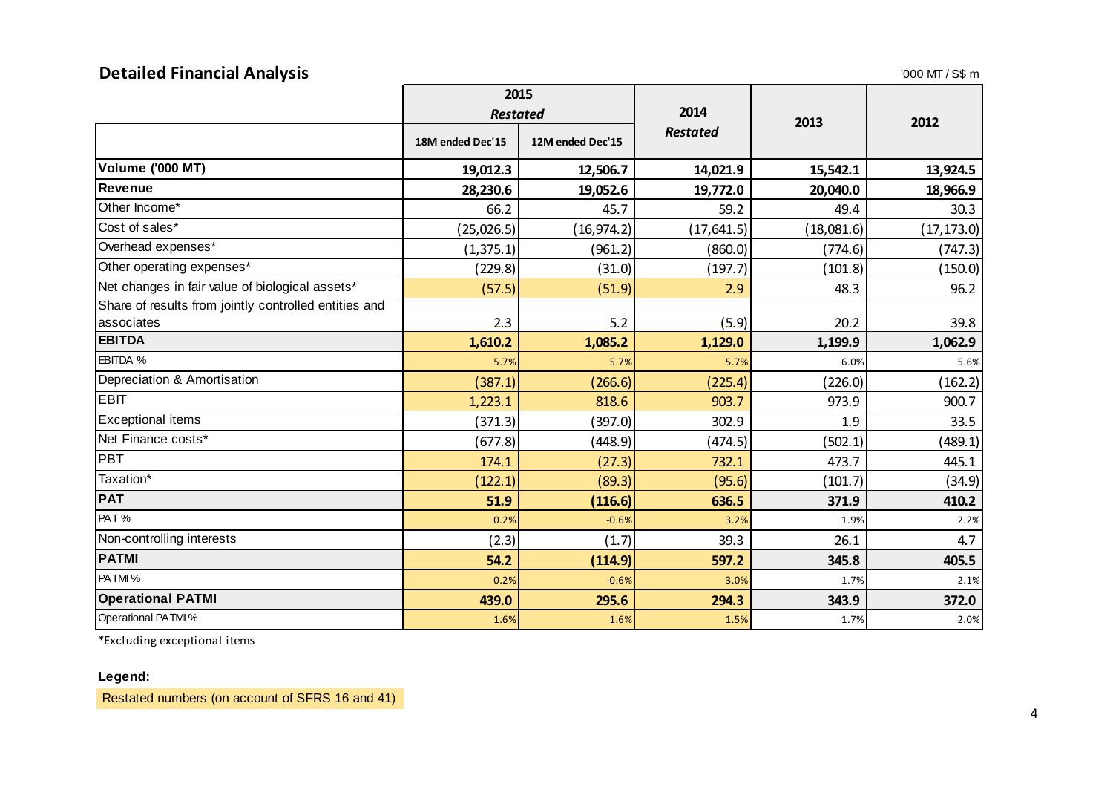# **Detailed Financial Analysis**

| <b>Detailed Financial Analysis</b><br>$'000$ MT / S\$ m |                  |                  |                 |            |             |  |
|---------------------------------------------------------|------------------|------------------|-----------------|------------|-------------|--|
|                                                         | 2015             |                  |                 |            |             |  |
|                                                         | <b>Restated</b>  |                  | 2014            | 2013       | 2012        |  |
|                                                         | 18M ended Dec'15 | 12M ended Dec'15 | <b>Restated</b> |            |             |  |
| <b>Volume ('000 MT)</b>                                 | 19,012.3         | 12,506.7         | 14,021.9        | 15,542.1   | 13,924.5    |  |
| <b>Revenue</b>                                          | 28,230.6         | 19,052.6         | 19,772.0        | 20,040.0   | 18,966.9    |  |
| Other Income*                                           | 66.2             | 45.7             | 59.2            | 49.4       | 30.3        |  |
| Cost of sales*                                          | (25, 026.5)      | (16, 974.2)      | (17, 641.5)     | (18,081.6) | (17, 173.0) |  |
| Overhead expenses*                                      | (1, 375.1)       | (961.2)          | (860.0)         | (774.6)    | (747.3)     |  |
| Other operating expenses*                               | (229.8)          | (31.0)           | (197.7)         | (101.8)    | (150.0)     |  |
| Net changes in fair value of biological assets*         | (57.5)           | (51.9)           | 2.9             | 48.3       | 96.2        |  |
| Share of results from jointly controlled entities and   |                  |                  |                 |            |             |  |
| associates                                              | 2.3              | 5.2              | (5.9)           | 20.2       | 39.8        |  |
| <b>EBITDA</b>                                           | 1,610.2          | 1,085.2          | 1,129.0         | 1,199.9    | 1,062.9     |  |
| EBITDA %                                                | 5.7%             | 5.7%             | 5.7%            | 6.0%       | 5.6%        |  |
| Depreciation & Amortisation                             | (387.1)          | (266.6)          | (225.4)         | (226.0)    | (162.2)     |  |
| <b>EBIT</b>                                             | 1,223.1          | 818.6            | 903.7           | 973.9      | 900.7       |  |
| <b>Exceptional items</b>                                | (371.3)          | (397.0)          | 302.9           | 1.9        | 33.5        |  |
| Net Finance costs*                                      | (677.8)          | (448.9)          | (474.5)         | (502.1)    | (489.1)     |  |
| <b>PBT</b>                                              | 174.1            | (27.3)           | 732.1           | 473.7      | 445.1       |  |
| Taxation*                                               | (122.1)          | (89.3)           | (95.6)          | (101.7)    | (34.9)      |  |
| <b>PAT</b>                                              | 51.9             | (116.6)          | 636.5           | 371.9      | 410.2       |  |
| PAT%                                                    | 0.2%             | $-0.6%$          | 3.2%            | 1.9%       | 2.2%        |  |
| Non-controlling interests                               | (2.3)            | (1.7)            | 39.3            | 26.1       | 4.7         |  |
| <b>PATMI</b>                                            | 54.2             | (114.9)          | 597.2           | 345.8      | 405.5       |  |
| PATMI%                                                  | 0.2%             | $-0.6%$          | 3.0%            | 1.7%       | 2.1%        |  |
| <b>Operational PATMI</b>                                | 439.0            | 295.6            | 294.3           | 343.9      | 372.0       |  |
| Operational PATMI %                                     | 1.6%             | 1.6%             | 1.5%            | 1.7%       | 2.0%        |  |

\*Excluding exceptional items

### **Legend:**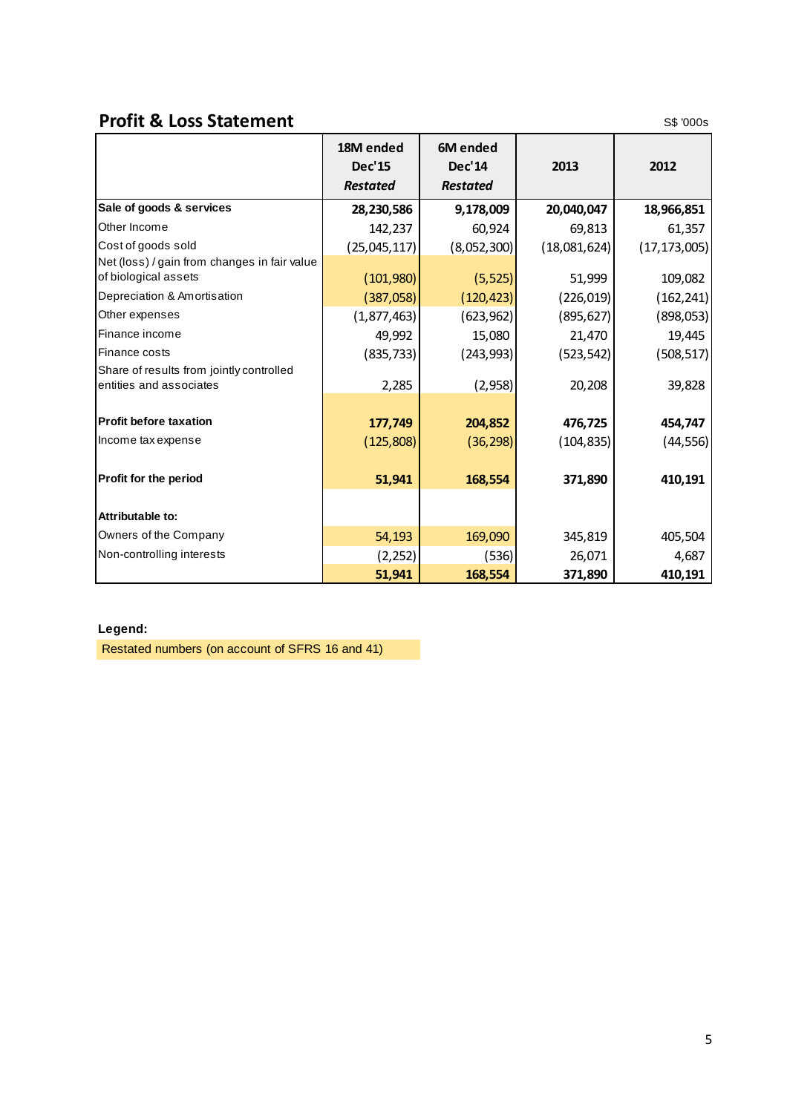# **Profit & Loss Statement** S\$ '000s

|                                                                     | 18M ended<br><b>Dec'15</b><br><b>Restated</b> | 6M ended<br>Dec'14<br><b>Restated</b> | 2013         | 2012           |
|---------------------------------------------------------------------|-----------------------------------------------|---------------------------------------|--------------|----------------|
| Sale of goods & services                                            | 28,230,586                                    | 9,178,009                             | 20,040,047   | 18,966,851     |
| Other Income                                                        | 142,237                                       | 60,924                                | 69,813       | 61,357         |
| Cost of goods sold                                                  | (25,045,117)                                  | (8,052,300)                           | (18,081,624) | (17, 173, 005) |
| Net (loss) / gain from changes in fair value                        |                                               |                                       |              |                |
| of biological assets                                                | (101,980)                                     | (5, 525)                              | 51,999       | 109,082        |
| Depreciation & Amortisation                                         | (387,058)                                     | (120, 423)                            | (226, 019)   | (162, 241)     |
| Other expenses                                                      | (1, 877, 463)                                 | (623, 962)                            | (895, 627)   | (898, 053)     |
| Finance income                                                      | 49,992                                        | 15,080                                | 21,470       | 19,445         |
| Finance costs                                                       | (835, 733)                                    | (243, 993)                            | (523, 542)   | (508, 517)     |
| Share of results from jointly controlled<br>entities and associates | 2,285                                         | (2,958)                               | 20,208       | 39,828         |
|                                                                     |                                               |                                       |              |                |
| <b>Profit before taxation</b>                                       | 177,749                                       | 204,852                               | 476,725      | 454,747        |
| Income tax expense                                                  | (125,808)                                     | (36, 298)                             | (104, 835)   | (44, 556)      |
| Profit for the period                                               | 51,941                                        | 168,554                               | 371,890      | 410,191        |
| Attributable to:                                                    |                                               |                                       |              |                |
| Owners of the Company                                               | 54,193                                        | 169,090                               | 345,819      | 405,504        |
| Non-controlling interests                                           | (2, 252)                                      | (536)                                 | 26,071       | 4,687          |
|                                                                     | 51,941                                        | 168,554                               | 371,890      | 410,191        |

### **Legend:**